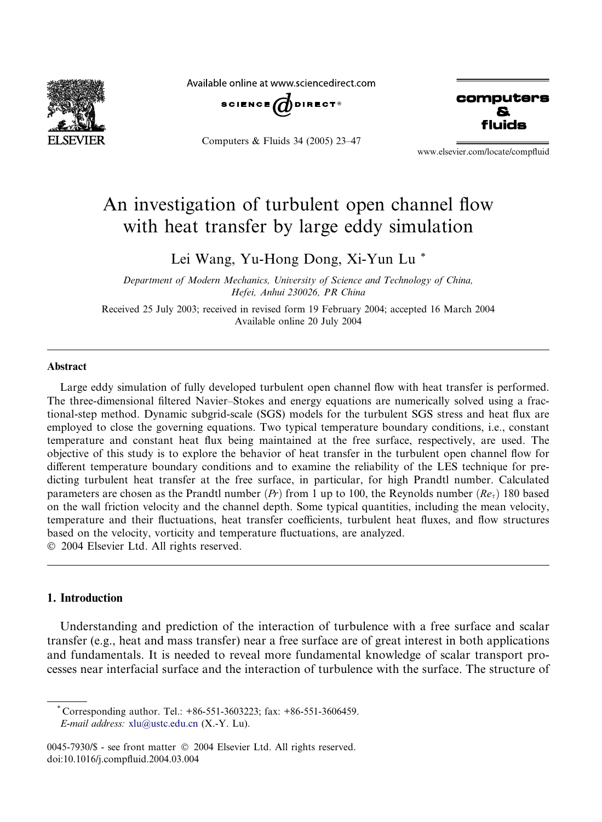

Available online at www.sciencedirect.com



Computers & Fluids 34 (2005) 23–47



www.elsevier.com/locate/compfluid

# An investigation of turbulent open channel flow with heat transfer by large eddy simulation

Lei Wang, Yu-Hong Dong, Xi-Yun Lu \*

Department of Modern Mechanics, University of Science and Technology of China, Hefei, Anhui 230026, PR China

Received 25 July 2003; received in revised form 19 February 2004; accepted 16 March 2004 Available online 20 July 2004

## Abstract

Large eddy simulation of fully developed turbulent open channel flow with heat transfer is performed. The three-dimensional filtered Navier–Stokes and energy equations are numerically solved using a fractional-step method. Dynamic subgrid-scale (SGS) models for the turbulent SGS stress and heat flux are employed to close the governing equations. Two typical temperature boundary conditions, i.e., constant temperature and constant heat flux being maintained at the free surface, respectively, are used. The objective of this study is to explore the behavior of heat transfer in the turbulent open channel flow for different temperature boundary conditions and to examine the reliability of the LES technique for predicting turbulent heat transfer at the free surface, in particular, for high Prandtl number. Calculated parameters are chosen as the Prandtl number  $(Pr)$  from 1 up to 100, the Reynolds number  $(Re<sub>r</sub>)$  180 based on the wall friction velocity and the channel depth. Some typical quantities, including the mean velocity, temperature and their fluctuations, heat transfer coefficients, turbulent heat fluxes, and flow structures based on the velocity, vorticity and temperature fluctuations, are analyzed. 2004 Elsevier Ltd. All rights reserved.

## 1. Introduction

Understanding and prediction of the interaction of turbulence with a free surface and scalar transfer (e.g., heat and mass transfer) near a free surface are of great interest in both applications and fundamentals. It is needed to reveal more fundamental knowledge of scalar transport processes near interfacial surface and the interaction of turbulence with the surface. The structure of

 $^*$  Corresponding author. Tel.:  $+86-551-3603223$ ; fax:  $+86-551-3606459$ . E-mail address: [xlu@ustc.edu.cn](mail to: xlu@ustc.edu.cn) (X.-Y. Lu).

<sup>0045-7930/\$ -</sup> see front matter  $\degree$  2004 Elsevier Ltd. All rights reserved. doi:10.1016/j.compfluid.2004.03.004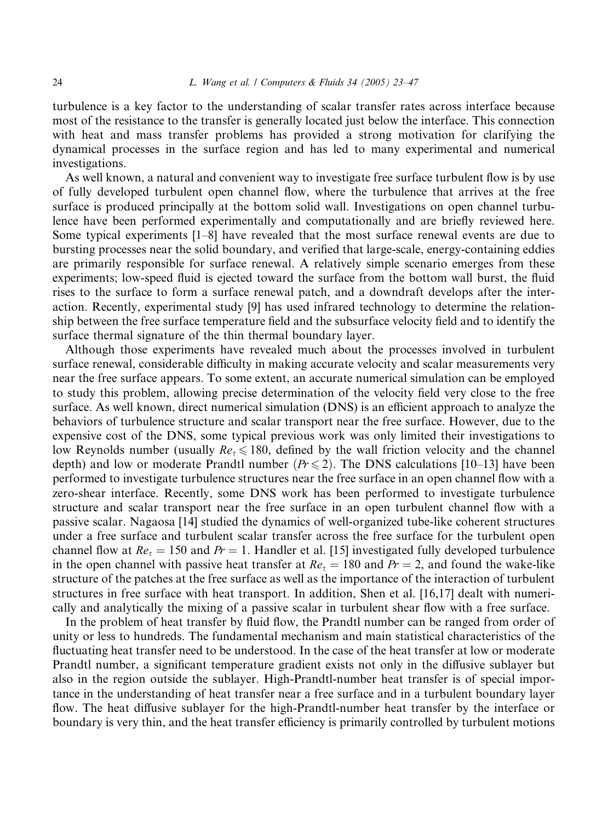turbulence is a key factor to the understanding of scalar transfer rates across interface because most of the resistance to the transfer is generally located just below the interface. This connection with heat and mass transfer problems has provided a strong motivation for clarifying the dynamical processes in the surface region and has led to many experimental and numerical investigations.

As well known, a natural and convenient way to investigate free surface turbulent flow is by use of fully developed turbulent open channel flow, where the turbulence that arrives at the free surface is produced principally at the bottom solid wall. Investigations on open channel turbulence have been performed experimentally and computationally and are briefly reviewed here. Some typical experiments [1–8] have revealed that the most surface renewal events are due to bursting processes near the solid boundary, and verified that large-scale, energy-containing eddies are primarily responsible for surface renewal. A relatively simple scenario emerges from these experiments; low-speed fluid is ejected toward the surface from the bottom wall burst, the fluid rises to the surface to form a surface renewal patch, and a downdraft develops after the interaction. Recently, experimental study [9] has used infrared technology to determine the relationship between the free surface temperature field and the subsurface velocity field and to identify the surface thermal signature of the thin thermal boundary layer.

Although those experiments have revealed much about the processes involved in turbulent surface renewal, considerable difficulty in making accurate velocity and scalar measurements very near the free surface appears. To some extent, an accurate numerical simulation can be employed to study this problem, allowing precise determination of the velocity field very close to the free surface. As well known, direct numerical simulation (DNS) is an efficient approach to analyze the behaviors of turbulence structure and scalar transport near the free surface. However, due to the expensive cost of the DNS, some typical previous work was only limited their investigations to low Reynolds number (usually  $Re_z \le 180$ , defined by the wall friction velocity and the channel depth) and low or moderate Prandtl number ( $Pr \le 2$ ). The DNS calculations [10–13] have been performed to investigate turbulence structures near the free surface in an open channel flow with a zero-shear interface. Recently, some DNS work has been performed to investigate turbulence structure and scalar transport near the free surface in an open turbulent channel flow with a passive scalar. Nagaosa [14] studied the dynamics of well-organized tube-like coherent structures under a free surface and turbulent scalar transfer across the free surface for the turbulent open channel flow at  $Re<sub>\tau</sub> = 150$  and  $Pr = 1$ . Handler et al. [15] investigated fully developed turbulence in the open channel with passive heat transfer at  $Re<sub>r</sub> = 180$  and  $Pr = 2$ , and found the wake-like structure of the patches at the free surface as well as the importance of the interaction of turbulent structures in free surface with heat transport. In addition, Shen et al. [16,17] dealt with numerically and analytically the mixing of a passive scalar in turbulent shear flow with a free surface.

In the problem of heat transfer by fluid flow, the Prandtl number can be ranged from order of unity or less to hundreds. The fundamental mechanism and main statistical characteristics of the fluctuating heat transfer need to be understood. In the case of the heat transfer at low or moderate Prandtl number, a significant temperature gradient exists not only in the diffusive sublayer but also in the region outside the sublayer. High-Prandtl-number heat transfer is of special importance in the understanding of heat transfer near a free surface and in a turbulent boundary layer flow. The heat diffusive sublayer for the high-Prandtl-number heat transfer by the interface or boundary is very thin, and the heat transfer efficiency is primarily controlled by turbulent motions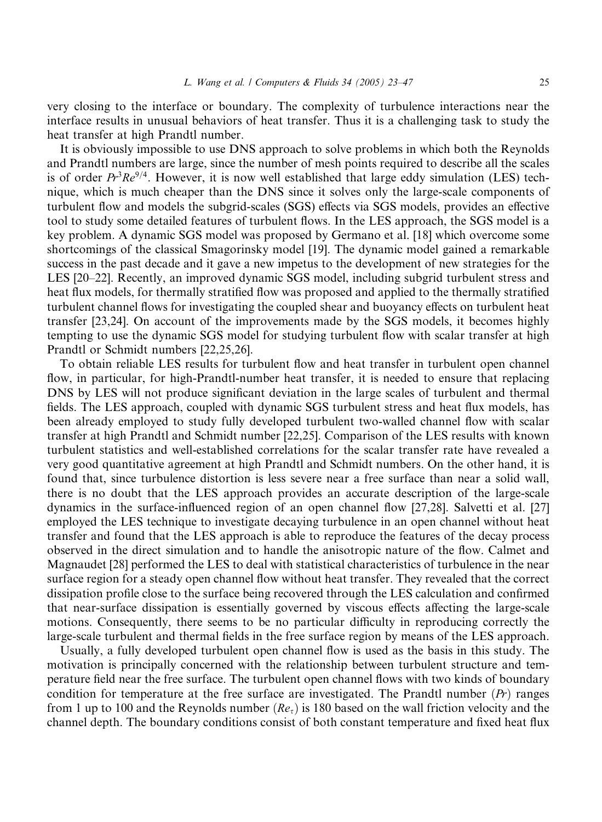very closing to the interface or boundary. The complexity of turbulence interactions near the interface results in unusual behaviors of heat transfer. Thus it is a challenging task to study the heat transfer at high Prandtl number.

It is obviously impossible to use DNS approach to solve problems in which both the Reynolds and Prandtl numbers are large, since the number of mesh points required to describe all the scales is of order  $Pr^3Re^{9/4}$ . However, it is now well established that large eddy simulation (LES) technique, which is much cheaper than the DNS since it solves only the large-scale components of turbulent flow and models the subgrid-scales (SGS) effects via SGS models, provides an effective tool to study some detailed features of turbulent flows. In the LES approach, the SGS model is a key problem. A dynamic SGS model was proposed by Germano et al. [18] which overcome some shortcomings of the classical Smagorinsky model [19]. The dynamic model gained a remarkable success in the past decade and it gave a new impetus to the development of new strategies for the LES [20–22]. Recently, an improved dynamic SGS model, including subgrid turbulent stress and heat flux models, for thermally stratified flow was proposed and applied to the thermally stratified turbulent channel flows for investigating the coupled shear and buoyancy effects on turbulent heat transfer [23,24]. On account of the improvements made by the SGS models, it becomes highly tempting to use the dynamic SGS model for studying turbulent flow with scalar transfer at high Prandtl or Schmidt numbers [22,25,26].

To obtain reliable LES results for turbulent flow and heat transfer in turbulent open channel flow, in particular, for high-Prandtl-number heat transfer, it is needed to ensure that replacing DNS by LES will not produce significant deviation in the large scales of turbulent and thermal fields. The LES approach, coupled with dynamic SGS turbulent stress and heat flux models, has been already employed to study fully developed turbulent two-walled channel flow with scalar transfer at high Prandtl and Schmidt number [22,25]. Comparison of the LES results with known turbulent statistics and well-established correlations for the scalar transfer rate have revealed a very good quantitative agreement at high Prandtl and Schmidt numbers. On the other hand, it is found that, since turbulence distortion is less severe near a free surface than near a solid wall, there is no doubt that the LES approach provides an accurate description of the large-scale dynamics in the surface-influenced region of an open channel flow [27,28]. Salvetti et al. [27] employed the LES technique to investigate decaying turbulence in an open channel without heat transfer and found that the LES approach is able to reproduce the features of the decay process observed in the direct simulation and to handle the anisotropic nature of the flow. Calmet and Magnaudet [28] performed the LES to deal with statistical characteristics of turbulence in the near surface region for a steady open channel flow without heat transfer. They revealed that the correct dissipation profile close to the surface being recovered through the LES calculation and confirmed that near-surface dissipation is essentially governed by viscous effects affecting the large-scale motions. Consequently, there seems to be no particular difficulty in reproducing correctly the large-scale turbulent and thermal fields in the free surface region by means of the LES approach.

Usually, a fully developed turbulent open channel flow is used as the basis in this study. The motivation is principally concerned with the relationship between turbulent structure and temperature field near the free surface. The turbulent open channel flows with two kinds of boundary condition for temperature at the free surface are investigated. The Prandtl number  $(Pr)$  ranges from 1 up to 100 and the Reynolds number  $(Re<sub>\tau</sub>)$  is 180 based on the wall friction velocity and the channel depth. The boundary conditions consist of both constant temperature and fixed heat flux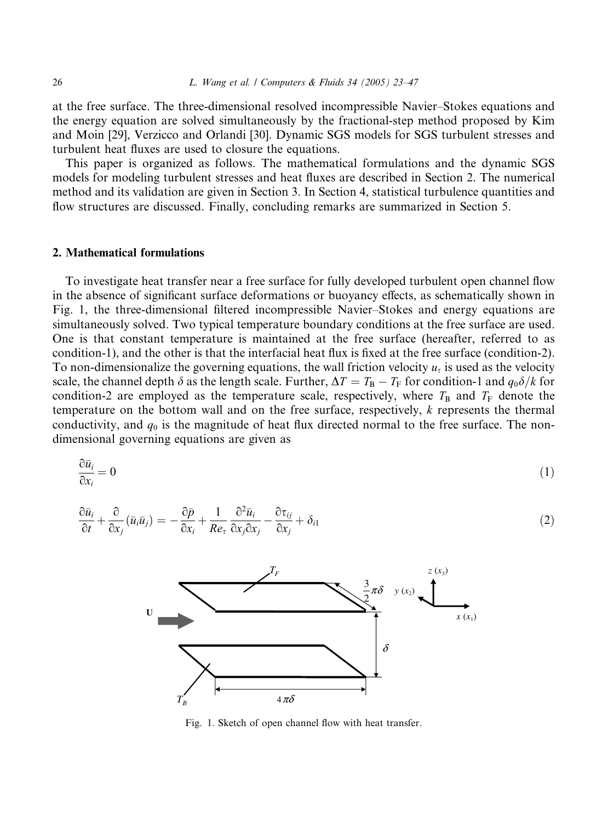at the free surface. The three-dimensional resolved incompressible Navier–Stokes equations and the energy equation are solved simultaneously by the fractional-step method proposed by Kim and Moin [29], Verzicco and Orlandi [30]. Dynamic SGS models for SGS turbulent stresses and turbulent heat fluxes are used to closure the equations.

This paper is organized as follows. The mathematical formulations and the dynamic SGS models for modeling turbulent stresses and heat fluxes are described in Section 2. The numerical method and its validation are given in Section 3. In Section 4, statistical turbulence quantities and flow structures are discussed. Finally, concluding remarks are summarized in Section 5.

## 2. Mathematical formulations

To investigate heat transfer near a free surface for fully developed turbulent open channel flow in the absence of significant surface deformations or buoyancy effects, as schematically shown in Fig. 1, the three-dimensional filtered incompressible Navier–Stokes and energy equations are simultaneously solved. Two typical temperature boundary conditions at the free surface are used. One is that constant temperature is maintained at the free surface (hereafter, referred to as condition-1), and the other is that the interfacial heat flux is fixed at the free surface (condition-2). To non-dimensionalize the governing equations, the wall friction velocity  $u<sub>z</sub>$  is used as the velocity scale, the channel depth  $\delta$  as the length scale. Further,  $\Delta T = T_{\rm B} - T_{\rm F}$  for condition-1 and  $q_0\delta/k$  for condition-2 are employed as the temperature scale, respectively, where  $T_B$  and  $T_F$  denote the temperature on the bottom wall and on the free surface, respectively,  $k$  represents the thermal conductivity, and  $q_0$  is the magnitude of heat flux directed normal to the free surface. The nondimensional governing equations are given as

$$
\frac{\partial \bar{u}_i}{\partial x_i} = 0 \tag{1}
$$

$$
\frac{\partial \bar{u}_i}{\partial t} + \frac{\partial}{\partial x_j} (\bar{u}_i \bar{u}_j) = -\frac{\partial \bar{p}}{\partial x_i} + \frac{1}{Re_{\tau}} \frac{\partial^2 \bar{u}_i}{\partial x_j \partial x_j} - \frac{\partial \tau_{ij}}{\partial x_j} + \delta_{i1}
$$
(2)



Fig. 1. Sketch of open channel flow with heat transfer.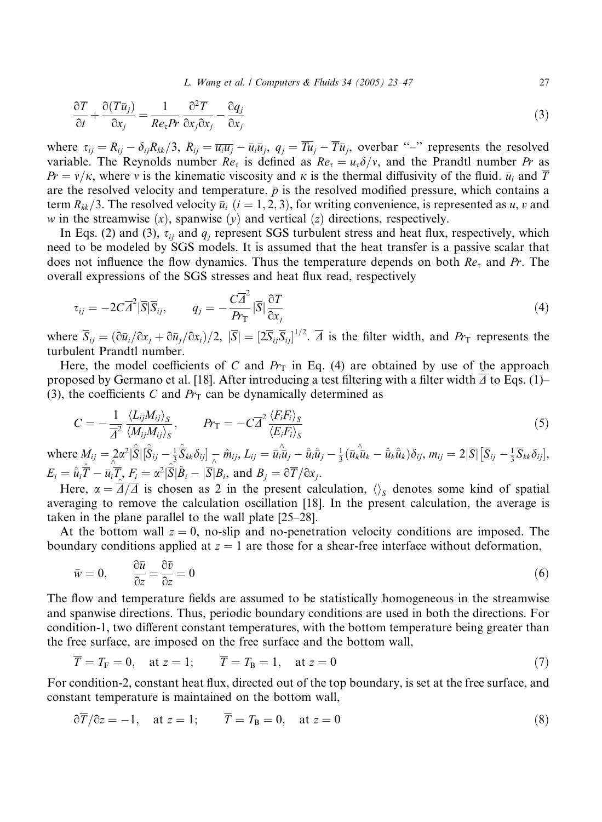L. Wang et al. / Computers & Fluids 34 (2005) 23–47 27

$$
\frac{\partial \overline{T}}{\partial t} + \frac{\partial (\overline{T} \overline{u}_j)}{\partial x_j} = \frac{1}{Re_{\tau} Pr} \frac{\partial^2 \overline{T}}{\partial x_j \partial x_j} - \frac{\partial q_j}{\partial x_j}
$$
(3)

where  $\tau_{ij} = R_{ij} - \delta_{ij}R_{kk}/3$ ,  $R_{ij} = \overline{u_i u_j} - \overline{u_i} \overline{u_j}$ ,  $q_j = \overline{T} u_j - \overline{T} \overline{u_j}$ , overbar "-" represents the resolved variable. The Reynolds number  $Re<sub>z</sub>$  is defined as  $Re<sub>z</sub> = u<sub>z</sub> \delta/v$ , and the Prandtl number Pr as  $Pr = v/\kappa$ , where v is the kinematic viscosity and  $\kappa$  is the thermal diffusivity of the fluid.  $\bar{u}_i$  and  $\bar{T}$ are the resolved velocity and temperature.  $\bar{p}$  is the resolved modified pressure, which contains a term  $R_{kk}/3$ . The resolved velocity  $\bar{u}_i$   $(i = 1, 2, 3)$ , for writing convenience, is represented as u, v and w in the streamwise  $(x)$ , spanwise  $(y)$  and vertical  $(z)$  directions, respectively.

In Eqs. (2) and (3),  $\tau_{ij}$  and  $q_j$  represent SGS turbulent stress and heat flux, respectively, which need to be modeled by SGS models. It is assumed that the heat transfer is a passive scalar that does not influence the flow dynamics. Thus the temperature depends on both  $Re<sub>r</sub>$  and Pr. The overall expressions of the SGS stresses and heat flux read, respectively

$$
\tau_{ij} = -2C\overline{A}^2 |\overline{S}|\overline{S}_{ij}, \qquad q_j = -\frac{C\overline{A}^2}{Pr_{\text{T}}} |\overline{S}|\frac{\partial \overline{T}}{\partial x_j}
$$
\n(4)

where  $\overline{S}_{ij} = (\partial \overline{u}_i/\partial x_j + \partial \overline{u}_j/\partial x_i)/2$ ,  $|\overline{S}| = [2\overline{S}_{ij}\overline{S}_{ij}]^{1/2}$ .  $\overline{\Delta}$  is the filter width, and  $Pr_{\overline{I}}$  represents the turbulent Prandtl number.

Here, the model coefficients of C and  $Pr<sub>T</sub>$  in Eq. (4) are obtained by use of the approach proposed by Germano et al. [18]. After introducing a test filtering with a filter width  $\overline{A}$  to Eqs. (1)– (3), the coefficients C and  $Pr<sub>T</sub>$  can be dynamically determined as

$$
C = -\frac{1}{\overline{A}^2} \frac{\langle L_{ij} M_{ij} \rangle_S}{\langle M_{ij} M_{ij} \rangle_S}, \qquad Pr_{\rm T} = -C\overline{A}^2 \frac{\langle F_i F_i \rangle_S}{\langle E_i F_i \rangle_S} \tag{5}
$$

where  $M_{ij} = 2\alpha^2 |\hat{\overline{S}}| [\hat{\overline{S}}_{ij} - \frac{1}{3} \hat{\overline{S}}_{kk} \delta_{ij}] - \hat{m}_{ij}, L_{ij} = \overline{u}_i \hat{\overline{u}}_j - \hat{\overline{u}}_i \hat{\overline{u}}_j - \frac{1}{3} (\overline{u}_k \hat{\overline{u}}_k - \hat{\overline{u}}_k \hat{\overline{u}}_k) \delta_{ij}, m_{ij} = 2|\overline{S}| [\overline{S}_{ij} - \frac{1}{3} \overline{S}_{kk} \delta_{ij}],$  $E_i = \hat{u}_i \hat{\overline{T}} - \overline{u}_i \overline{\overline{T}}$ ,  $F_i = \alpha^2 |\hat{\overline{S}}| \hat{B}_i - |\overline{S}| B_i$ , and  $B_j = \partial \overline{T} / \partial x_j$ .

Here,  $\alpha = \frac{\hat{\alpha}}{\hat{\beta}}/\overline{\hat{\beta}}$  is chosen as 2 in the present calculation,  $\langle \rangle_S$  denotes some kind of spatial averaging to remove the calculation oscillation [18]. In the present calculation, the average is taken in the plane parallel to the wall plate [25–28].

At the bottom wall  $z = 0$ , no-slip and no-penetration velocity conditions are imposed. The boundary conditions applied at  $z = 1$  are those for a shear-free interface without deformation,

$$
\bar{w} = 0, \qquad \frac{\partial \bar{u}}{\partial z} = \frac{\partial \bar{v}}{\partial z} = 0 \tag{6}
$$

The flow and temperature fields are assumed to be statistically homogeneous in the streamwise and spanwise directions. Thus, periodic boundary conditions are used in both the directions. For condition-1, two different constant temperatures, with the bottom temperature being greater than the free surface, are imposed on the free surface and the bottom wall,

$$
\overline{T} = T_{\rm F} = 0, \quad \text{at } z = 1; \qquad \overline{T} = T_{\rm B} = 1, \quad \text{at } z = 0 \tag{7}
$$

For condition-2, constant heat flux, directed out of the top boundary, is set at the free surface, and constant temperature is maintained on the bottom wall,

$$
\frac{\partial \overline{T}}{\partial z} = -1, \quad \text{at } z = 1; \qquad \overline{T} = T_B = 0, \quad \text{at } z = 0 \tag{8}
$$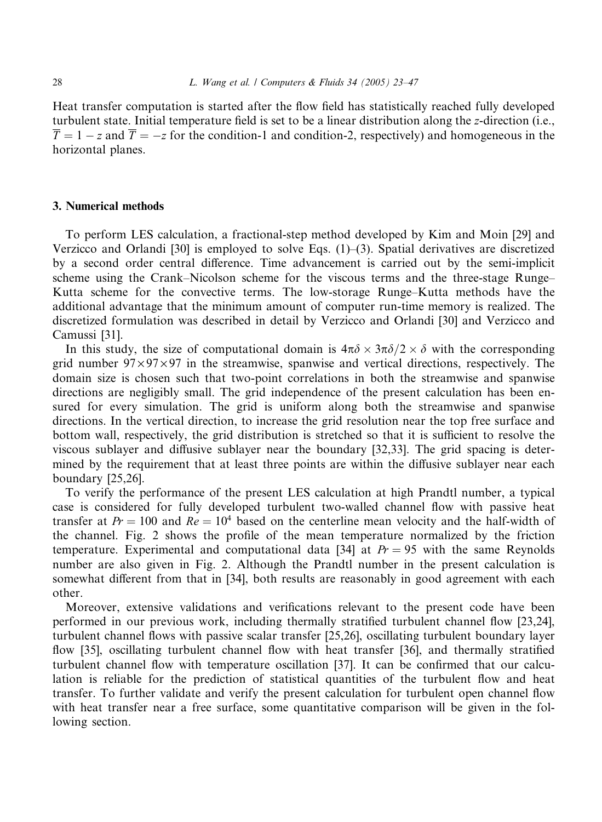Heat transfer computation is started after the flow field has statistically reached fully developed turbulent state. Initial temperature field is set to be a linear distribution along the z-direction (i.e.,  $\overline{T} = 1 - z$  and  $\overline{T} = -z$  for the condition-1 and condition-2, respectively) and homogeneous in the horizontal planes.

## 3. Numerical methods

To perform LES calculation, a fractional-step method developed by Kim and Moin [29] and Verzicco and Orlandi [30] is employed to solve Eqs. (1)–(3). Spatial derivatives are discretized by a second order central difference. Time advancement is carried out by the semi-implicit scheme using the Crank–Nicolson scheme for the viscous terms and the three-stage Runge– Kutta scheme for the convective terms. The low-storage Runge–Kutta methods have the additional advantage that the minimum amount of computer run-time memory is realized. The discretized formulation was described in detail by Verzicco and Orlandi [30] and Verzicco and Camussi [31].

In this study, the size of computational domain is  $4\pi\delta \times 3\pi\delta/2 \times \delta$  with the corresponding grid number  $97 \times 97 \times 97$  in the streamwise, spanwise and vertical directions, respectively. The domain size is chosen such that two-point correlations in both the streamwise and spanwise directions are negligibly small. The grid independence of the present calculation has been ensured for every simulation. The grid is uniform along both the streamwise and spanwise directions. In the vertical direction, to increase the grid resolution near the top free surface and bottom wall, respectively, the grid distribution is stretched so that it is sufficient to resolve the viscous sublayer and diffusive sublayer near the boundary [32,33]. The grid spacing is determined by the requirement that at least three points are within the diffusive sublayer near each boundary [25,26].

To verify the performance of the present LES calculation at high Prandtl number, a typical case is considered for fully developed turbulent two-walled channel flow with passive heat transfer at  $Pr = 100$  and  $Re = 10<sup>4</sup>$  based on the centerline mean velocity and the half-width of the channel. Fig. 2 shows the profile of the mean temperature normalized by the friction temperature. Experimental and computational data [34] at  $Pr = 95$  with the same Reynolds number are also given in Fig. 2. Although the Prandtl number in the present calculation is somewhat different from that in [34], both results are reasonably in good agreement with each other.

Moreover, extensive validations and verifications relevant to the present code have been performed in our previous work, including thermally stratified turbulent channel flow [23,24], turbulent channel flows with passive scalar transfer [25,26], oscillating turbulent boundary layer flow [35], oscillating turbulent channel flow with heat transfer [36], and thermally stratified turbulent channel flow with temperature oscillation [37]. It can be confirmed that our calculation is reliable for the prediction of statistical quantities of the turbulent flow and heat transfer. To further validate and verify the present calculation for turbulent open channel flow with heat transfer near a free surface, some quantitative comparison will be given in the following section.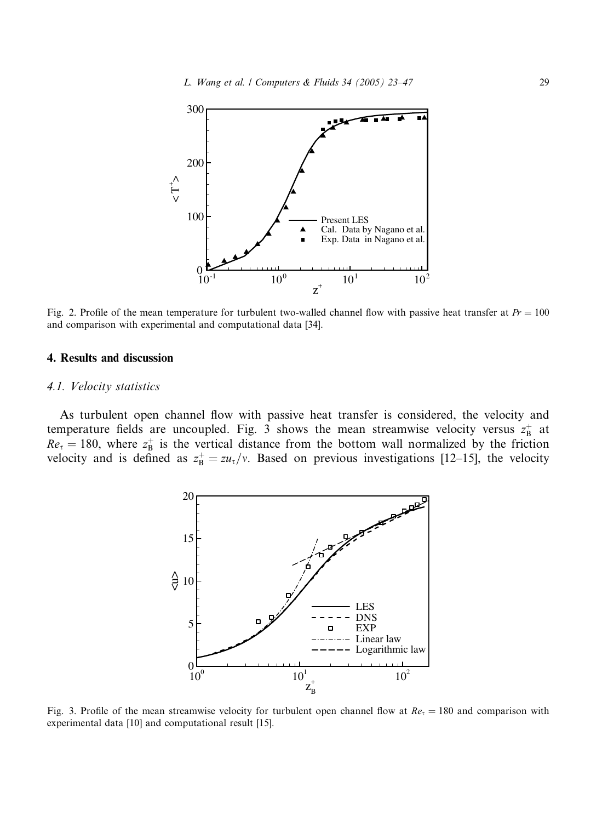

Fig. 2. Profile of the mean temperature for turbulent two-walled channel flow with passive heat transfer at  $Pr = 100$ and comparison with experimental and computational data [34].

## 4. Results and discussion

## 4.1. Velocity statistics

As turbulent open channel flow with passive heat transfer is considered, the velocity and temperature fields are uncoupled. Fig. 3 shows the mean streamwise velocity versus  $z_{\rm B}^+$  at  $Re_\tau = 180$ , where  $z_B^+$  is the vertical distance from the bottom wall normalized by the friction velocity and is defined as  $z_B^+ = zu_\tau/v$ . Based on previous investigations [12–15], the velocity



Fig. 3. Profile of the mean streamwise velocity for turbulent open channel flow at  $Re<sub>\tau</sub> = 180$  and comparison with experimental data [10] and computational result [15].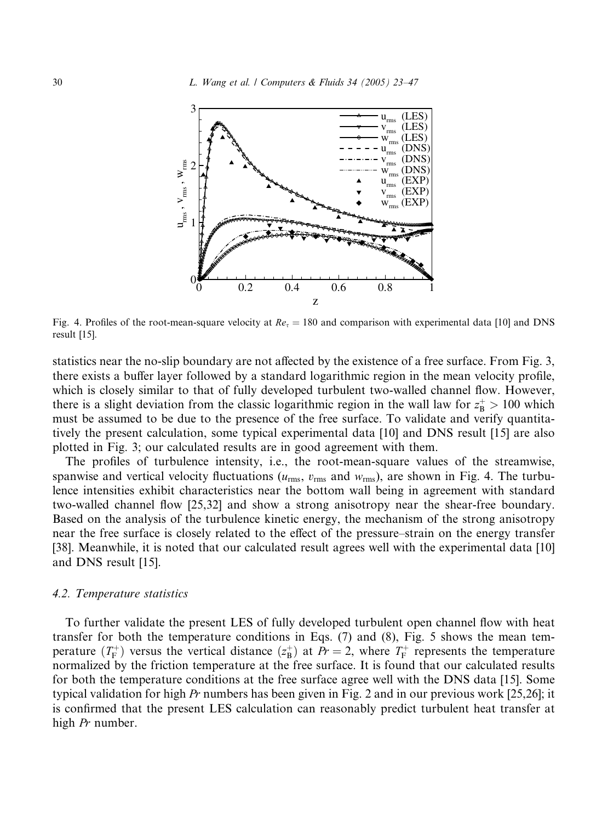

Fig. 4. Profiles of the root-mean-square velocity at  $Re<sub>z</sub> = 180$  and comparison with experimental data [10] and DNS result [15].

statistics near the no-slip boundary are not affected by the existence of a free surface. From Fig. 3, there exists a buffer layer followed by a standard logarithmic region in the mean velocity profile, which is closely similar to that of fully developed turbulent two-walled channel flow. However, there is a slight deviation from the classic logarithmic region in the wall law for  $z_B^+ > 100$  which must be assumed to be due to the presence of the free surface. To validate and verify quantitatively the present calculation, some typical experimental data [10] and DNS result [15] are also plotted in Fig. 3; our calculated results are in good agreement with them.

The profiles of turbulence intensity, i.e., the root-mean-square values of the streamwise, spanwise and vertical velocity fluctuations ( $u_{\rm rms}$ ,  $v_{\rm rms}$  and  $w_{\rm rms}$ ), are shown in Fig. 4. The turbulence intensities exhibit characteristics near the bottom wall being in agreement with standard two-walled channel flow [25,32] and show a strong anisotropy near the shear-free boundary. Based on the analysis of the turbulence kinetic energy, the mechanism of the strong anisotropy near the free surface is closely related to the effect of the pressure–strain on the energy transfer [38]. Meanwhile, it is noted that our calculated result agrees well with the experimental data [10] and DNS result [15].

#### 4.2. Temperature statistics

To further validate the present LES of fully developed turbulent open channel flow with heat transfer for both the temperature conditions in Eqs. (7) and (8), Fig. 5 shows the mean temperature  $(T_F^+)$  versus the vertical distance  $(z_B^+)$  at  $Pr = 2$ , where  $T_F^+$  represents the temperature normalized by the friction temperature at the free surface. It is found that our calculated results for both the temperature conditions at the free surface agree well with the DNS data [15]. Some typical validation for high Pr numbers has been given in Fig. 2 and in our previous work [25,26]; it is confirmed that the present LES calculation can reasonably predict turbulent heat transfer at high Pr number.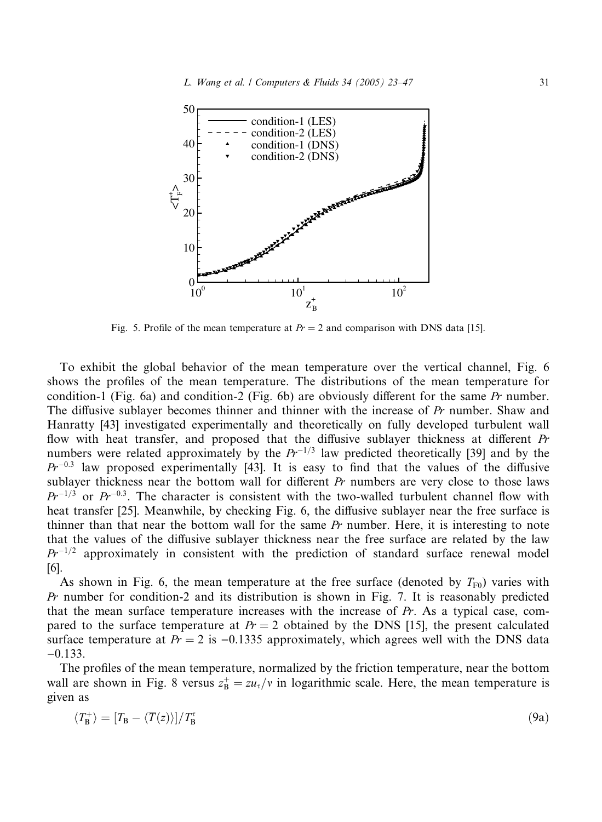

Fig. 5. Profile of the mean temperature at  $Pr = 2$  and comparison with DNS data [15].

To exhibit the global behavior of the mean temperature over the vertical channel, Fig. 6 shows the profiles of the mean temperature. The distributions of the mean temperature for condition-1 (Fig. 6a) and condition-2 (Fig. 6b) are obviously different for the same  $Pr$  number. The diffusive sublayer becomes thinner and thinner with the increase of Pr number. Shaw and Hanratty [43] investigated experimentally and theoretically on fully developed turbulent wall flow with heat transfer, and proposed that the diffusive sublayer thickness at different Pr numbers were related approximately by the  $Pr^{-1/3}$  law predicted theoretically [39] and by the  $Pr^{-0.3}$  law proposed experimentally [43]. It is easy to find that the values of the diffusive sublayer thickness near the bottom wall for different Pr numbers are very close to those laws  $Pr^{-1/3}$  or  $Pr^{-0.3}$ . The character is consistent with the two-walled turbulent channel flow with heat transfer [25]. Meanwhile, by checking Fig. 6, the diffusive sublayer near the free surface is thinner than that near the bottom wall for the same  $Pr$  number. Here, it is interesting to note that the values of the diffusive sublayer thickness near the free surface are related by the law  $Pr^{-1/2}$  approximately in consistent with the prediction of standard surface renewal model [6].

As shown in Fig. 6, the mean temperature at the free surface (denoted by  $T_{F0}$ ) varies with  $Pr$  number for condition-2 and its distribution is shown in Fig. 7. It is reasonably predicted that the mean surface temperature increases with the increase of  $Pr$ . As a typical case, compared to the surface temperature at  $Pr = 2$  obtained by the DNS [15], the present calculated surface temperature at  $Pr = 2$  is  $-0.1335$  approximately, which agrees well with the DNS data  $-0.133.$ 

The profiles of the mean temperature, normalized by the friction temperature, near the bottom wall are shown in Fig. 8 versus  $z_B^+ = zu_\tau/v$  in logarithmic scale. Here, the mean temperature is given as

$$
\langle T_{\rm B}^+ \rangle = [T_{\rm B} - \langle \overline{T}(z) \rangle] / T_{\rm B}^{\tau}
$$
\n(9a)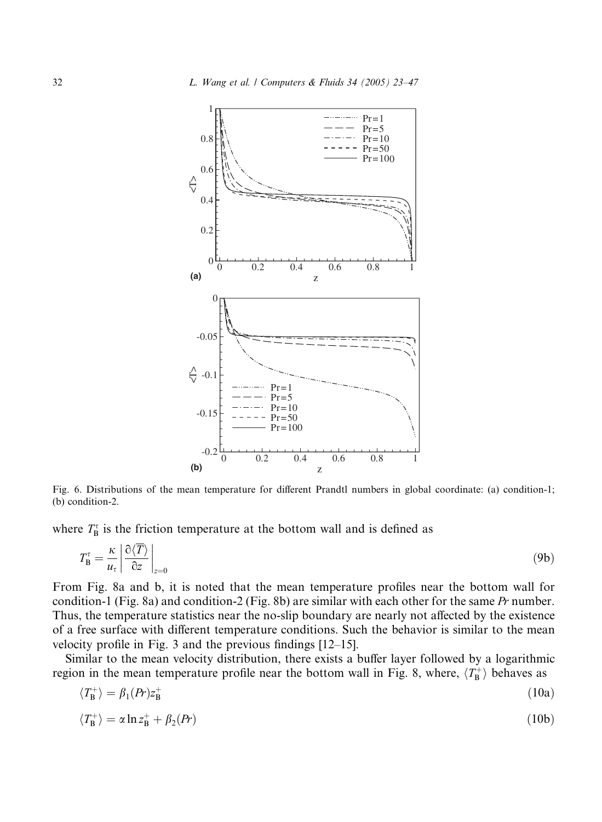

Fig. 6. Distributions of the mean temperature for different Prandtl numbers in global coordinate: (a) condition-1; (b) condition-2.

where  $T_{\rm B}^{\tau}$  is the friction temperature at the bottom wall and is defined as

$$
T_{\rm B}^{\tau} = \frac{\kappa}{u_{\tau}} \left| \frac{\partial \langle \overline{T} \rangle}{\partial z} \right|_{z=0} \tag{9b}
$$

From Fig. 8a and b, it is noted that the mean temperature profiles near the bottom wall for condition-1 (Fig. 8a) and condition-2 (Fig. 8b) are similar with each other for the same  $Pr$  number. Thus, the temperature statistics near the no-slip boundary are nearly not affected by the existence of a free surface with different temperature conditions. Such the behavior is similar to the mean velocity profile in Fig. 3 and the previous findings [12–15].

Similar to the mean velocity distribution, there exists a buffer layer followed by a logarithmic region in the mean temperature profile near the bottom wall in Fig. 8, where,  $\langle T_{\rm B}^+ \rangle$  behaves as

$$
\langle T_{\mathbf{B}}^{+} \rangle = \beta_1 (Pr) z_{\mathbf{B}}^{+} \tag{10a}
$$

$$
\langle T_{\rm B}^+ \rangle = \alpha \ln z_{\rm B}^+ + \beta_2 (Pr) \tag{10b}
$$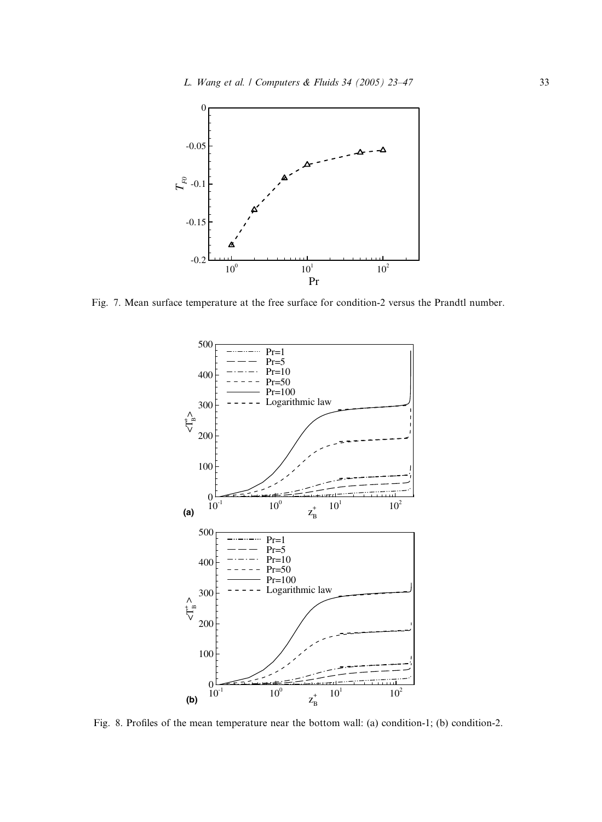

Fig. 7. Mean surface temperature at the free surface for condition-2 versus the Prandtl number.



Fig. 8. Profiles of the mean temperature near the bottom wall: (a) condition-1; (b) condition-2.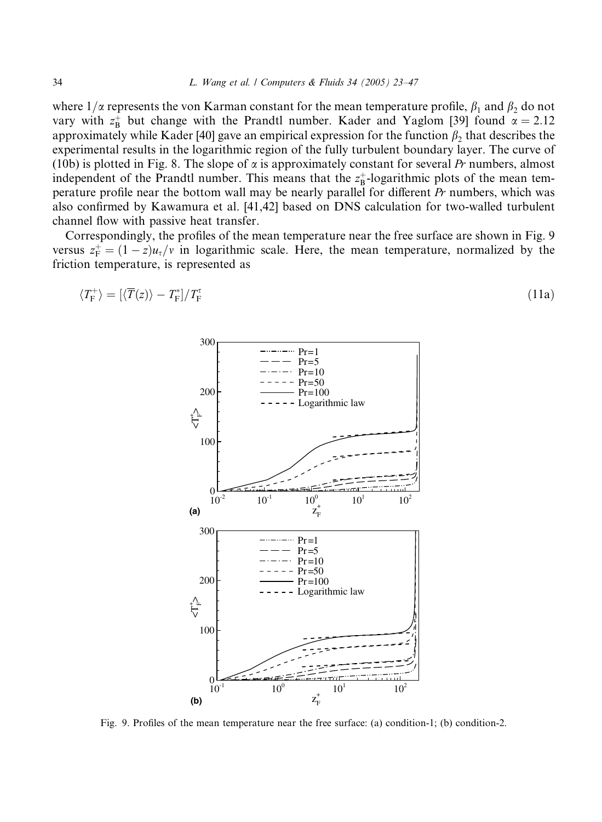where  $1/\alpha$  represents the von Karman constant for the mean temperature profile,  $\beta_1$  and  $\beta_2$  do not vary with  $z_B^+$  but change with the Prandtl number. Kader and Yaglom [39] found  $\alpha = 2.12$ approximately while Kader [40] gave an empirical expression for the function  $\beta_2$  that describes the experimental results in the logarithmic region of the fully turbulent boundary layer. The curve of (10b) is plotted in Fig. 8. The slope of  $\alpha$  is approximately constant for several Pr numbers, almost independent of the Prandtl number. This means that the  $z_{\rm B}^+$ -logarithmic plots of the mean temperature profile near the bottom wall may be nearly parallel for different Pr numbers, which was also confirmed by Kawamura et al. [41,42] based on DNS calculation for two-walled turbulent channel flow with passive heat transfer.

Correspondingly, the profiles of the mean temperature near the free surface are shown in Fig. 9 versus  $z_F^+ = (1 - z)u_\tau/v$  in logarithmic scale. Here, the mean temperature, normalized by the friction temperature, is represented as

$$
\langle T_{\rm F}^+ \rangle = [\langle \overline{T}(z) \rangle - T_{\rm F}^*]/T_{\rm F}^{\tau}
$$
\n(11a)



Fig. 9. Profiles of the mean temperature near the free surface: (a) condition-1; (b) condition-2.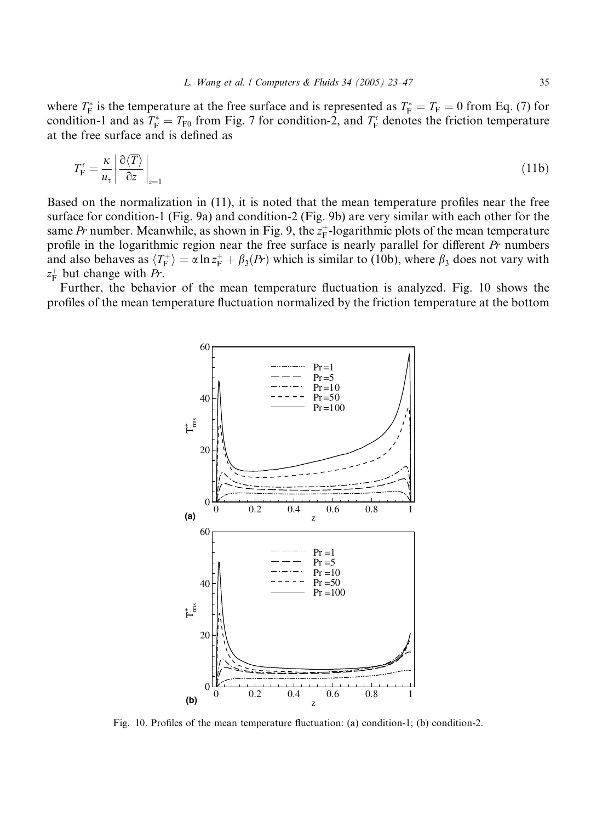where  $T_F^*$  is the temperature at the free surface and is represented as  $T_F^* = T_F = 0$  from Eq. (7) for condition-1 and as  $T_F^* = T_{F0}$  from Fig. 7 for condition-2, and  $T_F^{\tau}$  denotes the friction temperature at the free surface and is defined as

$$
T_{\rm F}^{\tau} = \frac{\kappa}{u_{\tau}} \left| \frac{\partial \langle \overline{T} \rangle}{\partial z} \right|_{z=1} \tag{11b}
$$

Based on the normalization in (11), it is noted that the mean temperature profiles near the free surface for condition-1 (Fig. 9a) and condition-2 (Fig. 9b) are very similar with each other for the same Pr number. Meanwhile, as shown in Fig. 9, the  $z_F^+$ -logarithmic plots of the mean temperature profile in the logarithmic region near the free surface is nearly parallel for different Pr numbers and also behaves as  $\langle T_{\rm F}^+ \rangle = \alpha \ln z_{\rm F}^+ + \beta_3 (Pr)$  which is similar to (10b), where  $\beta_3$  does not vary with  $z_F^+$  but change with *Pr*.

Further, the behavior of the mean temperature fluctuation is analyzed. Fig. 10 shows the profiles of the mean temperature fluctuation normalized by the friction temperature at the bottom



Fig. 10. Profiles of the mean temperature fluctuation: (a) condition-1; (b) condition-2.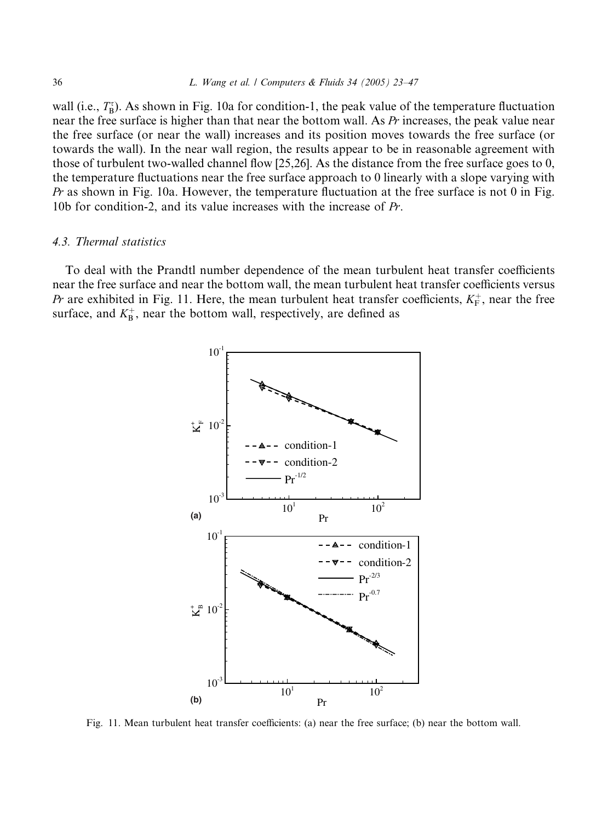wall (i.e.,  $T_{\rm B}^{\rm t}$ ). As shown in Fig. 10a for condition-1, the peak value of the temperature fluctuation near the free surface is higher than that near the bottom wall. As Pr increases, the peak value near the free surface (or near the wall) increases and its position moves towards the free surface (or towards the wall). In the near wall region, the results appear to be in reasonable agreement with those of turbulent two-walled channel flow [25,26]. As the distance from the free surface goes to 0, the temperature fluctuations near the free surface approach to 0 linearly with a slope varying with  $Pr$  as shown in Fig. 10a. However, the temperature fluctuation at the free surface is not 0 in Fig. 10b for condition-2, and its value increases with the increase of Pr.

## 4.3. Thermal statistics

To deal with the Prandtl number dependence of the mean turbulent heat transfer coefficients near the free surface and near the bottom wall, the mean turbulent heat transfer coefficients versus *Pr* are exhibited in Fig. 11. Here, the mean turbulent heat transfer coefficients,  $K_F^+$ , near the free surface, and  $K_B^+$ , near the bottom wall, respectively, are defined as



Fig. 11. Mean turbulent heat transfer coefficients: (a) near the free surface; (b) near the bottom wall.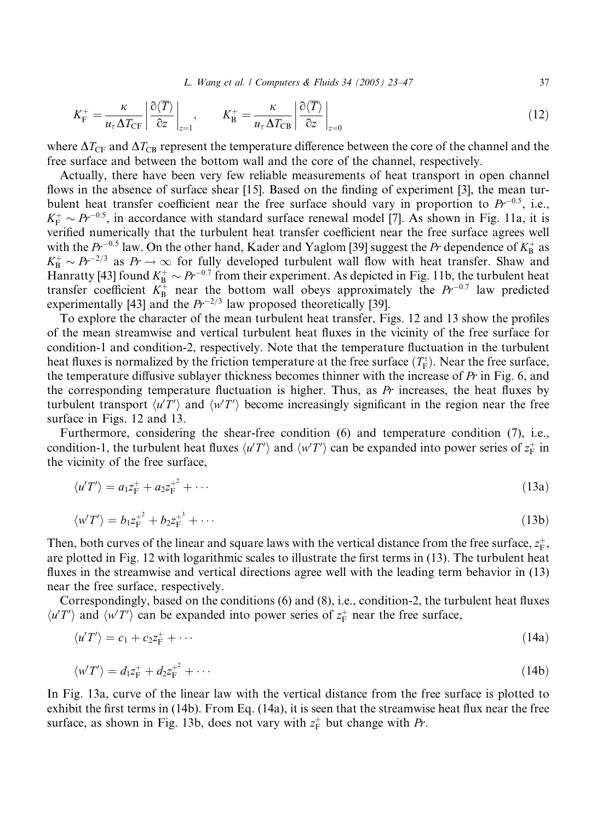L. Wang et al. / Computers & Fluids 34 (2005) 23–47 37

$$
K_{\rm F}^+ = \frac{\kappa}{u_\tau \Delta T_{\rm CF}} \left| \frac{\partial \langle \overline{T} \rangle}{\partial z} \right|_{z=1}, \qquad K_{\rm B}^+ = \frac{\kappa}{u_\tau \Delta T_{\rm CB}} \left| \frac{\partial \langle \overline{T} \rangle}{\partial z} \right|_{z=0} \tag{12}
$$

where  $\Delta T_{\rm CF}$  and  $\Delta T_{\rm CB}$  represent the temperature difference between the core of the channel and the free surface and between the bottom wall and the core of the channel, respectively.

Actually, there have been very few reliable measurements of heat transport in open channel flows in the absence of surface shear [15]. Based on the finding of experiment [3], the mean turbulent heat transfer coefficient near the free surface should vary in proportion to  $Pr^{-0.5}$ , i.e.,  $K_F^+ \sim Pr^{-0.5}$ , in accordance with standard surface renewal model [7]. As shown in Fig. 11a, it is verified numerically that the turbulent heat transfer coefficient near the free surface agrees well with the  $Pr^{-0.5}$  law. On the other hand, Kader and Yaglom [39] suggest the Pr dependence of  $K_B^+$  as  $K_B^+ \sim Pr^{-2/3}$  as  $Pr \to \infty$  for fully developed turbulent wall flow with heat transfer. Shaw and Hanratty [43] found  $K_B^+ \sim Pr^{-0.7}$  from their experiment. As depicted in Fig. 11b, the turbulent heat transfer coefficient  $K_B^+$  near the bottom wall obeys approximately the  $Pr^{-0.7}$  law predicted experimentally [43] and the  $Pr^{-2/3}$  law proposed theoretically [39].

To explore the character of the mean turbulent heat transfer, Figs. 12 and 13 show the profiles of the mean streamwise and vertical turbulent heat fluxes in the vicinity of the free surface for condition-1 and condition-2, respectively. Note that the temperature fluctuation in the turbulent heat fluxes is normalized by the friction temperature at the free surface  $(T_F^{\tau})$ . Near the free surface, the temperature diffusive sublayer thickness becomes thinner with the increase of  $Pr$  in Fig. 6, and the corresponding temperature fluctuation is higher. Thus, as  $Pr$  increases, the heat fluxes by turbulent transport  $\langle u'T' \rangle$  and  $\langle w'T' \rangle$  become increasingly significant in the region near the free surface in Figs. 12 and 13.

Furthermore, considering the shear-free condition (6) and temperature condition (7), i.e., condition-1, the turbulent heat fluxes  $\langle u/T' \rangle$  and  $\langle w/T' \rangle$  can be expanded into power series of  $z_F^+$  in the vicinity of the free surface,

$$
\langle u'T'\rangle = a_1 z_{\rm F}^+ + a_2 z_{\rm F}^{+^2} + \cdots \tag{13a}
$$

$$
\langle w'T'\rangle = b_1 z_{\mathrm{F}}^{+^2} + b_2 z_{\mathrm{F}}^{+^3} + \cdots \tag{13b}
$$

Then, both curves of the linear and square laws with the vertical distance from the free surface,  $z_F^+$ , are plotted in Fig. 12 with logarithmic scales to illustrate the first terms in (13). The turbulent heat fluxes in the streamwise and vertical directions agree well with the leading term behavior in (13) near the free surface, respectively.

Correspondingly, based on the conditions (6) and (8), i.e., condition-2, the turbulent heat fluxes  $\langle u/T' \rangle$  and  $\langle w/T' \rangle$  can be expanded into power series of  $z_F^+$  near the free surface,

$$
\langle u'T' \rangle = c_1 + c_2 z_{\rm F}^+ + \cdots \tag{14a}
$$

$$
\langle w'T'\rangle = d_1 z_{\rm F}^+ + d_2 z_{\rm F}^{+^2} + \cdots \tag{14b}
$$

In Fig. 13a, curve of the linear law with the vertical distance from the free surface is plotted to exhibit the first terms in (14b). From Eq. (14a), it is seen that the streamwise heat flux near the free surface, as shown in Fig. 13b, does not vary with  $z_F^+$  but change with *Pr*.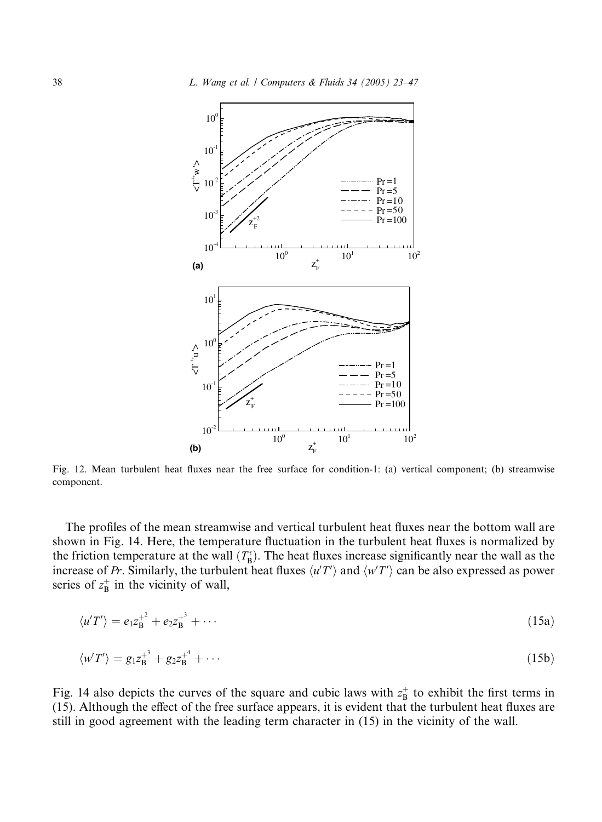

Fig. 12. Mean turbulent heat fluxes near the free surface for condition-1: (a) vertical component; (b) streamwise component.

The profiles of the mean streamwise and vertical turbulent heat fluxes near the bottom wall are shown in Fig. 14. Here, the temperature fluctuation in the turbulent heat fluxes is normalized by the friction temperature at the wall  $(T_{\text{B}}^{\tau})$ . The heat fluxes increase significantly near the wall as the increase of Pr. Similarly, the turbulent heat fluxes  $\langle u'T' \rangle$  and  $\langle w'T' \rangle$  can be also expressed as power series of  $z_B^+$  in the vicinity of wall,

$$
\langle u'T'\rangle = e_1 z_{\mathbf{B}}^{+^2} + e_2 z_{\mathbf{B}}^{+^3} + \cdots \tag{15a}
$$

$$
\langle w'T'\rangle = g_1 z_{\mathbf{B}}^{+3} + g_2 z_{\mathbf{B}}^{+4} + \cdots \tag{15b}
$$

Fig. 14 also depicts the curves of the square and cubic laws with  $z_B^+$  to exhibit the first terms in (15). Although the effect of the free surface appears, it is evident that the turbulent heat fluxes are still in good agreement with the leading term character in (15) in the vicinity of the wall.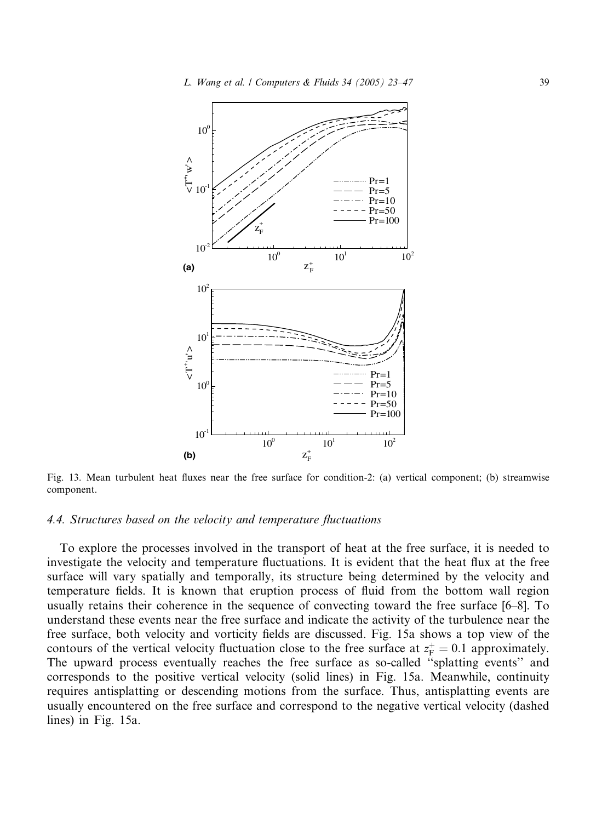

Fig. 13. Mean turbulent heat fluxes near the free surface for condition-2: (a) vertical component; (b) streamwise component.

# 4.4. Structures based on the velocity and temperature fluctuations

To explore the processes involved in the transport of heat at the free surface, it is needed to investigate the velocity and temperature fluctuations. It is evident that the heat flux at the free surface will vary spatially and temporally, its structure being determined by the velocity and temperature fields. It is known that eruption process of fluid from the bottom wall region usually retains their coherence in the sequence of convecting toward the free surface [6–8]. To understand these events near the free surface and indicate the activity of the turbulence near the free surface, both velocity and vorticity fields are discussed. Fig. 15a shows a top view of the contours of the vertical velocity fluctuation close to the free surface at  $z_F^+ = 0.1$  approximately. The upward process eventually reaches the free surface as so-called ''splatting events'' and corresponds to the positive vertical velocity (solid lines) in Fig. 15a. Meanwhile, continuity requires antisplatting or descending motions from the surface. Thus, antisplatting events are usually encountered on the free surface and correspond to the negative vertical velocity (dashed lines) in Fig. 15a.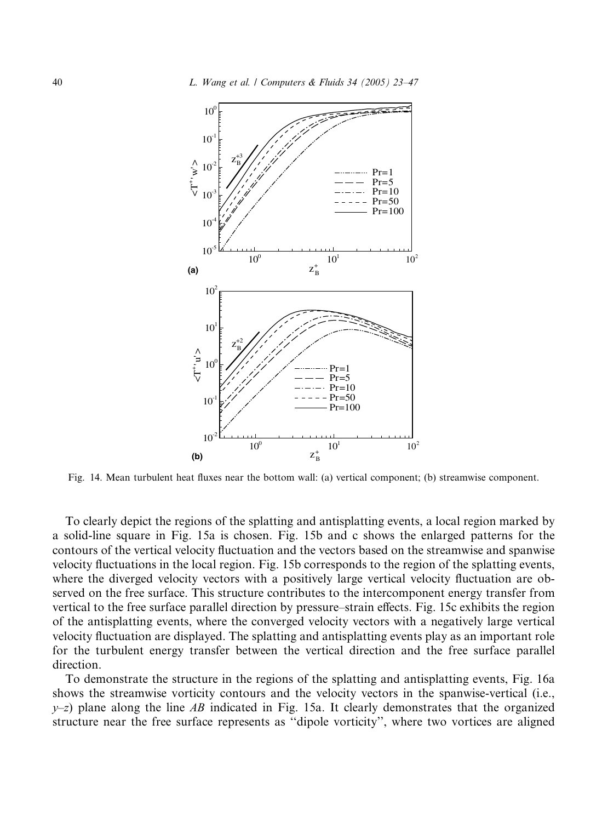

Fig. 14. Mean turbulent heat fluxes near the bottom wall: (a) vertical component; (b) streamwise component.

To clearly depict the regions of the splatting and antisplatting events, a local region marked by a solid-line square in Fig. 15a is chosen. Fig. 15b and c shows the enlarged patterns for the contours of the vertical velocity fluctuation and the vectors based on the streamwise and spanwise velocity fluctuations in the local region. Fig. 15b corresponds to the region of the splatting events, where the diverged velocity vectors with a positively large vertical velocity fluctuation are observed on the free surface. This structure contributes to the intercomponent energy transfer from vertical to the free surface parallel direction by pressure–strain effects. Fig. 15c exhibits the region of the antisplatting events, where the converged velocity vectors with a negatively large vertical velocity fluctuation are displayed. The splatting and antisplatting events play as an important role for the turbulent energy transfer between the vertical direction and the free surface parallel direction.

To demonstrate the structure in the regions of the splatting and antisplatting events, Fig. 16a shows the streamwise vorticity contours and the velocity vectors in the spanwise-vertical (i.e.,  $y-z$ ) plane along the line AB indicated in Fig. 15a. It clearly demonstrates that the organized structure near the free surface represents as ''dipole vorticity'', where two vortices are aligned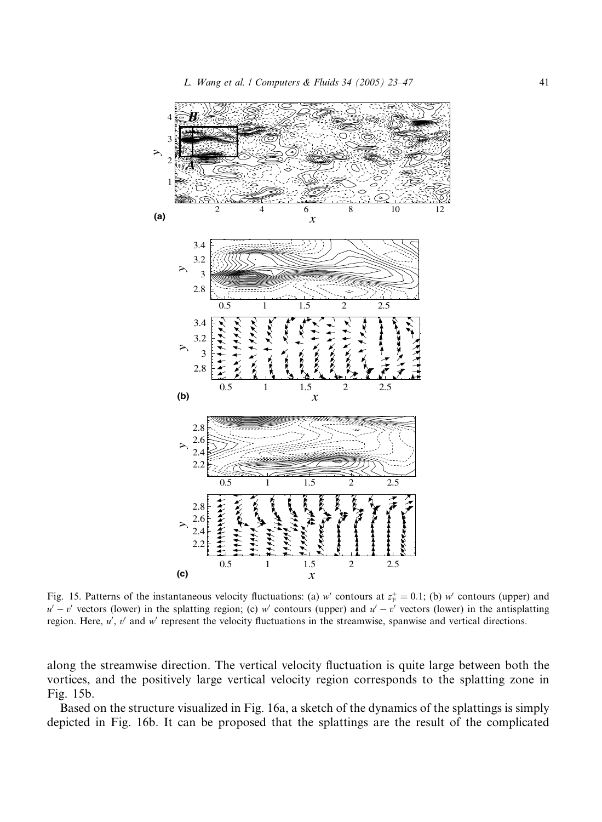

Fig. 15. Patterns of the instantaneous velocity fluctuations: (a) w' contours at  $z_F^+ = 0.1$ ; (b) w' contours (upper) and  $u' - v'$  vectors (lower) in the splatting region; (c) w' contours (upper) and  $u' - v'$  vectors (lower) in the antisplatting region. Here,  $u'$ ,  $v'$  and  $w'$  represent the velocity fluctuations in the streamwise, spanwise and vertical directions.

along the streamwise direction. The vertical velocity fluctuation is quite large between both the vortices, and the positively large vertical velocity region corresponds to the splatting zone in Fig. 15b.

Based on the structure visualized in Fig. 16a, a sketch of the dynamics of the splattings is simply depicted in Fig. 16b. It can be proposed that the splattings are the result of the complicated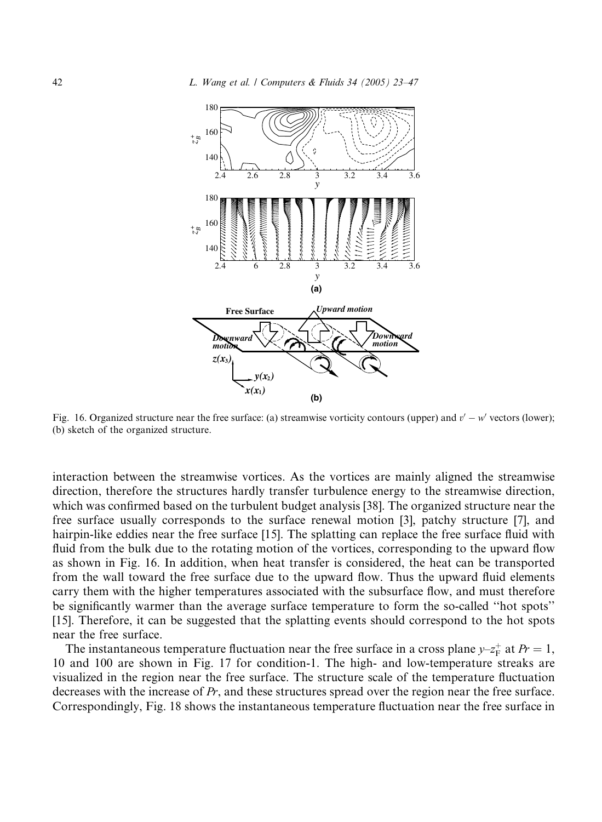

Fig. 16. Organized structure near the free surface: (a) streamwise vorticity contours (upper) and  $v' - w'$  vectors (lower); (b) sketch of the organized structure.

interaction between the streamwise vortices. As the vortices are mainly aligned the streamwise direction, therefore the structures hardly transfer turbulence energy to the streamwise direction, which was confirmed based on the turbulent budget analysis [38]. The organized structure near the free surface usually corresponds to the surface renewal motion [3], patchy structure [7], and hairpin-like eddies near the free surface [15]. The splatting can replace the free surface fluid with fluid from the bulk due to the rotating motion of the vortices, corresponding to the upward flow as shown in Fig. 16. In addition, when heat transfer is considered, the heat can be transported from the wall toward the free surface due to the upward flow. Thus the upward fluid elements carry them with the higher temperatures associated with the subsurface flow, and must therefore be significantly warmer than the average surface temperature to form the so-called ''hot spots'' [15]. Therefore, it can be suggested that the splatting events should correspond to the hot spots near the free surface.

The instantaneous temperature fluctuation near the free surface in a cross plane  $y-z_F^+$  at  $Pr = 1$ , 10 and 100 are shown in Fig. 17 for condition-1. The high- and low-temperature streaks are visualized in the region near the free surface. The structure scale of the temperature fluctuation decreases with the increase of  $Pr$ , and these structures spread over the region near the free surface. Correspondingly, Fig. 18 shows the instantaneous temperature fluctuation near the free surface in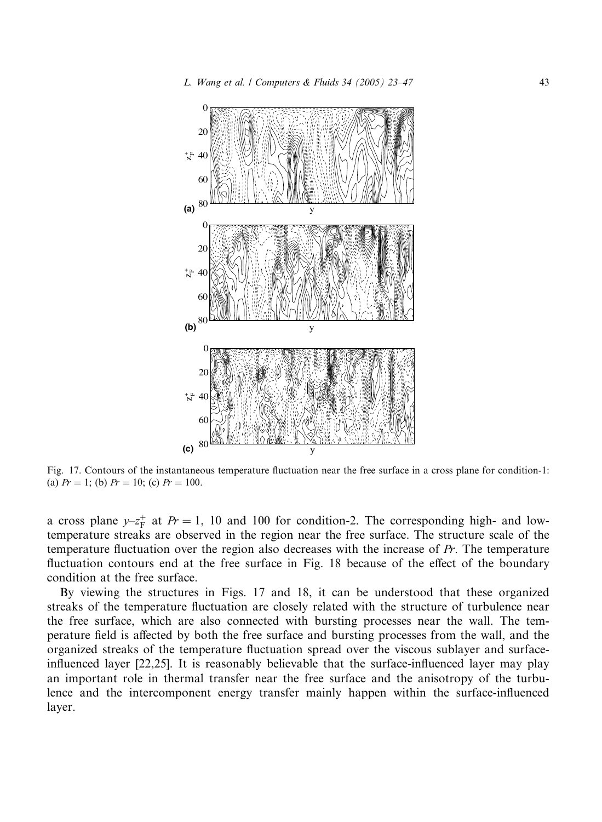

Fig. 17. Contours of the instantaneous temperature fluctuation near the free surface in a cross plane for condition-1: (a)  $Pr = 1$ ; (b)  $Pr = 10$ ; (c)  $Pr = 100$ .

a cross plane  $y-z_F^+$  at  $Pr = 1$ , 10 and 100 for condition-2. The corresponding high- and lowtemperature streaks are observed in the region near the free surface. The structure scale of the temperature fluctuation over the region also decreases with the increase of  $Pr$ . The temperature fluctuation contours end at the free surface in Fig. 18 because of the effect of the boundary condition at the free surface.

By viewing the structures in Figs. 17 and 18, it can be understood that these organized streaks of the temperature fluctuation are closely related with the structure of turbulence near the free surface, which are also connected with bursting processes near the wall. The temperature field is affected by both the free surface and bursting processes from the wall, and the organized streaks of the temperature fluctuation spread over the viscous sublayer and surfaceinfluenced layer [22,25]. It is reasonably believable that the surface-influenced layer may play an important role in thermal transfer near the free surface and the anisotropy of the turbulence and the intercomponent energy transfer mainly happen within the surface-influenced layer.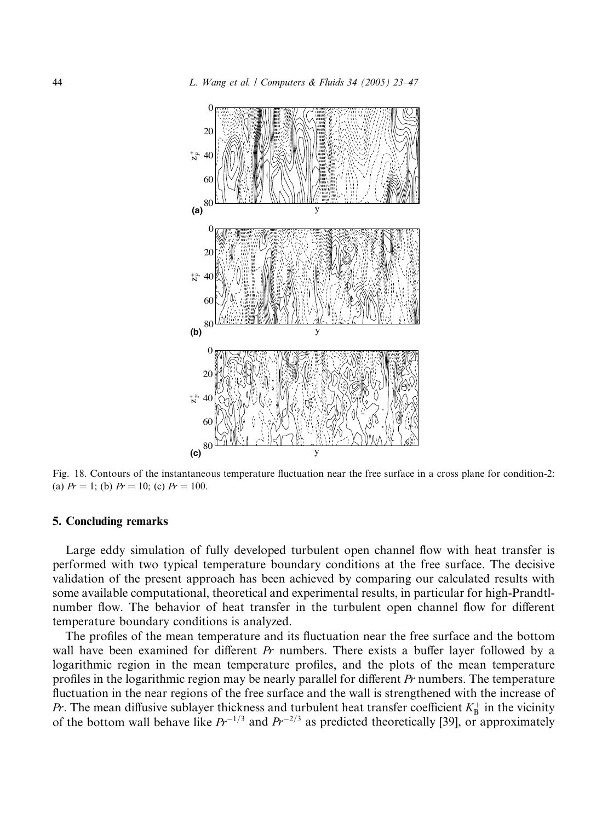

Fig. 18. Contours of the instantaneous temperature fluctuation near the free surface in a cross plane for condition-2: (a)  $Pr = 1$ ; (b)  $Pr = 10$ ; (c)  $Pr = 100$ .

# 5. Concluding remarks

Large eddy simulation of fully developed turbulent open channel flow with heat transfer is performed with two typical temperature boundary conditions at the free surface. The decisive validation of the present approach has been achieved by comparing our calculated results with some available computational, theoretical and experimental results, in particular for high-Prandtlnumber flow. The behavior of heat transfer in the turbulent open channel flow for different temperature boundary conditions is analyzed.

The profiles of the mean temperature and its fluctuation near the free surface and the bottom wall have been examined for different Pr numbers. There exists a buffer layer followed by a logarithmic region in the mean temperature profiles, and the plots of the mean temperature profiles in the logarithmic region may be nearly parallel for different  $Pr$  numbers. The temperature fluctuation in the near regions of the free surface and the wall is strengthened with the increase of Pr. The mean diffusive sublayer thickness and turbulent heat transfer coefficient  $K_B^+$  in the vicinity of the bottom wall behave like  $Pr^{-1/3}$  and  $Pr^{-2/3}$  as predicted theoretically [39], or approximately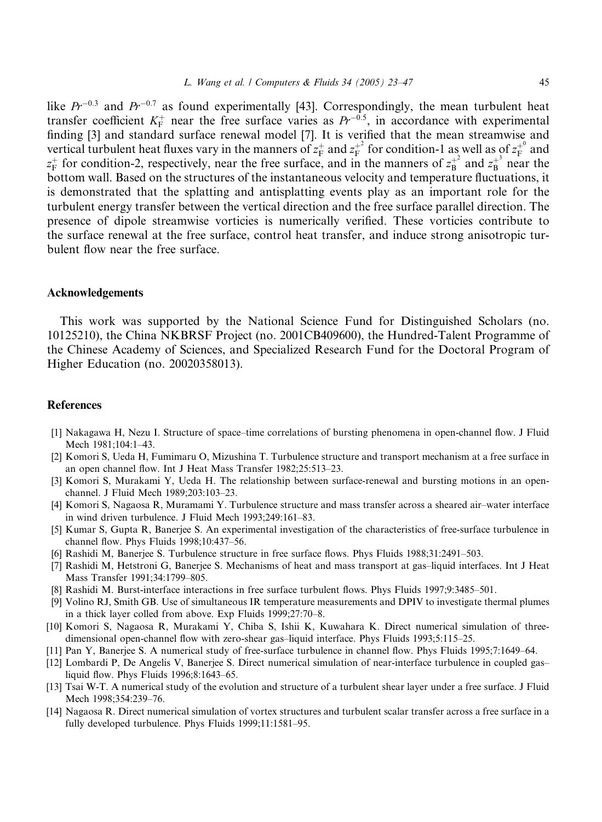like  $Pr^{-0.3}$  and  $Pr^{-0.7}$  as found experimentally [43]. Correspondingly, the mean turbulent heat transfer coefficient  $K_F^+$  near the free surface varies as  $Pr^{-0.5}$ , in accordance with experimental finding [3] and standard surface renewal model [7]. It is verified that the mean streamwise and vertical turbulent heat fluxes vary in the manners of  $z_F^+$  and  $z_F^+$  for condition-1 as well as of  $z_F^+$  and  $z_F^+$  for condition-2, respectively, near the free surface, and in the manners of  $z_B^{+2}$  and  $z_B^{+3}$  near the bottom wall. Based on the structures of the instantaneous velocity and temperature fluctuations, it is demonstrated that the splatting and antisplatting events play as an important role for the turbulent energy transfer between the vertical direction and the free surface parallel direction. The presence of dipole streamwise vorticies is numerically verified. These vorticies contribute to the surface renewal at the free surface, control heat transfer, and induce strong anisotropic turbulent flow near the free surface.

## Acknowledgements

This work was supported by the National Science Fund for Distinguished Scholars (no. 10125210), the China NKBRSF Project (no. 2001CB409600), the Hundred-Talent Programme of the Chinese Academy of Sciences, and Specialized Research Fund for the Doctoral Program of Higher Education (no. 20020358013).

#### References

- [1] Nakagawa H, Nezu I. Structure of space–time correlations of bursting phenomena in open-channel flow. J Fluid Mech 1981;104:1–43.
- [2] Komori S, Ueda H, Fumimaru O, Mizushina T. Turbulence structure and transport mechanism at a free surface in an open channel flow. Int J Heat Mass Transfer 1982;25:513–23.
- [3] Komori S, Murakami Y, Ueda H. The relationship between surface-renewal and bursting motions in an openchannel. J Fluid Mech 1989;203:103–23.
- [4] Komori S, Nagaosa R, Muramami Y. Turbulence structure and mass transfer across a sheared air–water interface in wind driven turbulence. J Fluid Mech 1993;249:161–83.
- [5] Kumar S, Gupta R, Banerjee S. An experimental investigation of the characteristics of free-surface turbulence in channel flow. Phys Fluids 1998;10:437–56.
- [6] Rashidi M, Banerjee S. Turbulence structure in free surface flows. Phys Fluids 1988;31:2491–503.
- [7] Rashidi M, Hetstroni G, Banerjee S. Mechanisms of heat and mass transport at gas–liquid interfaces. Int J Heat Mass Transfer 1991;34:1799–805.
- [8] Rashidi M. Burst-interface interactions in free surface turbulent flows. Phys Fluids 1997;9:3485–501.
- [9] Volino RJ, Smith GB. Use of simultaneous IR temperature measurements and DPIV to investigate thermal plumes in a thick layer colled from above. Exp Fluids 1999;27:70–8.
- [10] Komori S, Nagaosa R, Murakami Y, Chiba S, Ishii K, Kuwahara K. Direct numerical simulation of threedimensional open-channel flow with zero-shear gas–liquid interface. Phys Fluids 1993;5:115–25.
- [11] Pan Y, Banerjee S. A numerical study of free-surface turbulence in channel flow. Phys Fluids 1995;7:1649–64.
- [12] Lombardi P, De Angelis V, Banerjee S. Direct numerical simulation of near-interface turbulence in coupled gas– liquid flow. Phys Fluids 1996;8:1643–65.
- [13] Tsai W-T. A numerical study of the evolution and structure of a turbulent shear layer under a free surface. J Fluid Mech 1998;354:239–76.
- [14] Nagaosa R. Direct numerical simulation of vortex structures and turbulent scalar transfer across a free surface in a fully developed turbulence. Phys Fluids 1999;11:1581–95.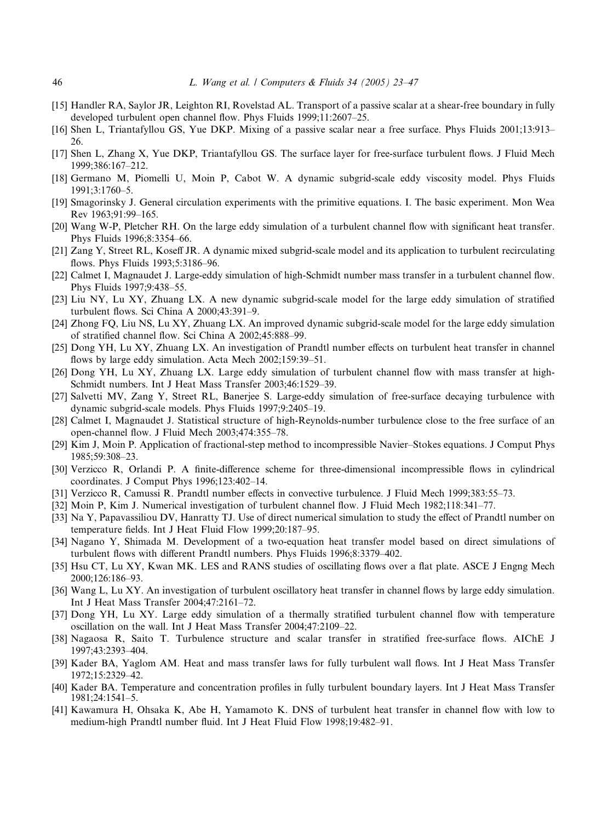- [15] Handler RA, Saylor JR, Leighton RI, Rovelstad AL. Transport of a passive scalar at a shear-free boundary in fully developed turbulent open channel flow. Phys Fluids 1999;11:2607–25.
- [16] Shen L, Triantafyllou GS, Yue DKP. Mixing of a passive scalar near a free surface. Phys Fluids 2001;13:913– 26.
- [17] Shen L, Zhang X, Yue DKP, Triantafyllou GS. The surface layer for free-surface turbulent flows. J Fluid Mech 1999;386:167–212.
- [18] Germano M, Piomelli U, Moin P, Cabot W. A dynamic subgrid-scale eddy viscosity model. Phys Fluids 1991;3:1760–5.
- [19] Smagorinsky J. General circulation experiments with the primitive equations. I. The basic experiment. Mon Wea Rev 1963;91:99–165.
- [20] Wang W-P, Pletcher RH. On the large eddy simulation of a turbulent channel flow with significant heat transfer. Phys Fluids 1996;8:3354–66.
- [21] Zang Y, Street RL, Koseff JR. A dynamic mixed subgrid-scale model and its application to turbulent recirculating flows. Phys Fluids 1993;5:3186–96.
- [22] Calmet I, Magnaudet J. Large-eddy simulation of high-Schmidt number mass transfer in a turbulent channel flow. Phys Fluids 1997;9:438–55.
- [23] Liu NY, Lu XY, Zhuang LX. A new dynamic subgrid-scale model for the large eddy simulation of stratified turbulent flows. Sci China A 2000;43:391–9.
- [24] Zhong FQ, Liu NS, Lu XY, Zhuang LX. An improved dynamic subgrid-scale model for the large eddy simulation of stratified channel flow. Sci China A 2002;45:888–99.
- [25] Dong YH, Lu XY, Zhuang LX. An investigation of Prandtl number effects on turbulent heat transfer in channel flows by large eddy simulation. Acta Mech 2002;159:39–51.
- [26] Dong YH, Lu XY, Zhuang LX. Large eddy simulation of turbulent channel flow with mass transfer at high-Schmidt numbers. Int J Heat Mass Transfer 2003;46:1529–39.
- [27] Salvetti MV, Zang Y, Street RL, Banerjee S. Large-eddy simulation of free-surface decaying turbulence with dynamic subgrid-scale models. Phys Fluids 1997;9:2405–19.
- [28] Calmet I, Magnaudet J. Statistical structure of high-Reynolds-number turbulence close to the free surface of an open-channel flow. J Fluid Mech 2003;474:355–78.
- [29] Kim J, Moin P. Application of fractional-step method to incompressible Navier–Stokes equations. J Comput Phys 1985;59:308–23.
- [30] Verzicco R, Orlandi P. A finite-difference scheme for three-dimensional incompressible flows in cylindrical coordinates. J Comput Phys 1996;123:402–14.
- [31] Verzicco R, Camussi R. Prandtl number effects in convective turbulence. J Fluid Mech 1999;383:55–73.
- [32] Moin P, Kim J. Numerical investigation of turbulent channel flow. J Fluid Mech 1982;118:341–77.
- [33] Na Y, Papavassiliou DV, Hanratty TJ. Use of direct numerical simulation to study the effect of Prandtl number on temperature fields. Int J Heat Fluid Flow 1999;20:187–95.
- [34] Nagano Y, Shimada M. Development of a two-equation heat transfer model based on direct simulations of turbulent flows with different Prandtl numbers. Phys Fluids 1996;8:3379–402.
- [35] Hsu CT, Lu XY, Kwan MK. LES and RANS studies of oscillating flows over a flat plate. ASCE J Engng Mech 2000;126:186–93.
- [36] Wang L, Lu XY. An investigation of turbulent oscillatory heat transfer in channel flows by large eddy simulation. Int J Heat Mass Transfer 2004;47:2161–72.
- [37] Dong YH, Lu XY. Large eddy simulation of a thermally stratified turbulent channel flow with temperature oscillation on the wall. Int J Heat Mass Transfer 2004;47:2109–22.
- [38] Nagaosa R, Saito T. Turbulence structure and scalar transfer in stratified free-surface flows. AIChE J 1997;43:2393–404.
- [39] Kader BA, Yaglom AM. Heat and mass transfer laws for fully turbulent wall flows. Int J Heat Mass Transfer 1972;15:2329–42.
- [40] Kader BA. Temperature and concentration profiles in fully turbulent boundary layers. Int J Heat Mass Transfer 1981;24:1541–5.
- [41] Kawamura H, Ohsaka K, Abe H, Yamamoto K. DNS of turbulent heat transfer in channel flow with low to medium-high Prandtl number fluid. Int J Heat Fluid Flow 1998;19:482–91.